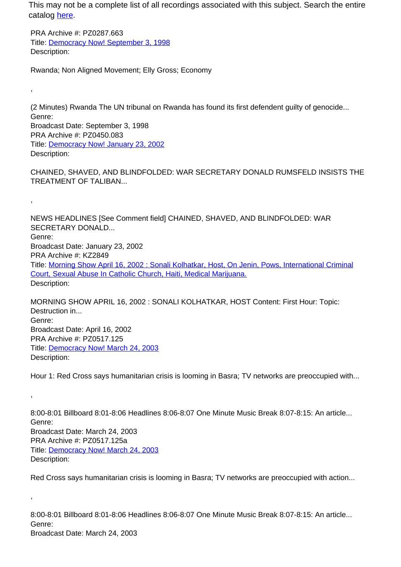This may not be a complete list of all recordings associated with this subject. Search the entire catalog [here.](http://pacificaradioarchives.org/keyword-search)

PRA Archive #: PZ0287.663 Title: Democracy Now! September 3, 1998 Description:

,

,

,

,

Rwanda; Non Aligned Movement; Elly Gross; Economy

(2 Minutes) Rwanda The UN tribunal on Rwanda has found its first defendent guilty of genocide... Genre: Broadcast Date: September 3, 1998 PRA Archive #: PZ0450.083 Title: Democracy Now! January 23, 2002 Description:

CHAINED, SHAVED, AND BLINDFOLDED: WAR SECRETARY DONALD RUMSFELD INSISTS THE TREATMENT OF TALIBAN...

NEWS HEADLINES [See Comment field] CHAINED, SHAVED, AND BLINDFOLDED: WAR SECRETARY DONALD... Genre: Broadcast Date: January 23, 2002 PRA Archive #: KZ2849 Title: Morning Show April 16, 2002 : Sonali Kolhatkar, Host, On Jenin, Pows, International Criminal Court, Sexual Abuse In Catholic Church, Haiti, Medical Marijuana. Description:

MORNING SHOW APRIL 16, 2002 : SONALI KOLHATKAR, HOST Content: First Hour: Topic: Destruction in... Genre: Broadcast Date: April 16, 2002 PRA Archive #: PZ0517.125 Title: Democracy Now! March 24, 2003 Description:

Hour 1: Red Cross says humanitarian crisis is looming in Basra; TV networks are preoccupied with...

8:00-8:01 Billboard 8:01-8:06 Headlines 8:06-8:07 One Minute Music Break 8:07-8:15: An article... Genre: Broadcast Date: March 24, 2003 PRA Archive #: PZ0517.125a Title: Democracy Now! March 24, 2003 Description:

Red Cross says humanitarian crisis is looming in Basra; TV networks are preoccupied with action...

8:00-8:01 Billboard 8:01-8:06 Headlines 8:06-8:07 One Minute Music Break 8:07-8:15: An article... Genre: Broadcast Date: March 24, 2003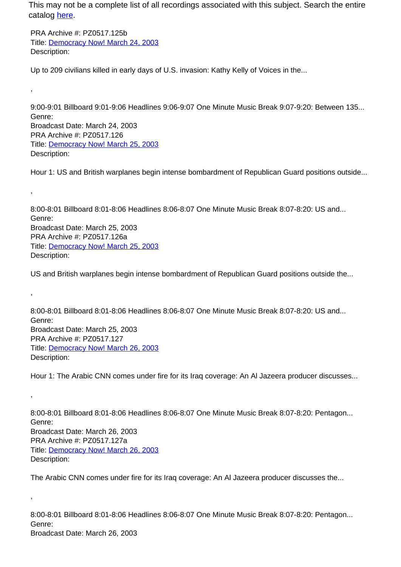This may not be a complete list of all recordings associated with this subject. Search the entire catalog here.

PRA Archive #: PZ0517.125b Title: Democracy Now! March 24, 2003 Description:

,

,

,

,

,

Up to 209 civilians killed in early days of U.S. invasion: Kathy Kelly of Voices in the...

9:00-9:01 Billboard 9:01-9:06 Headlines 9:06-9:07 One Minute Music Break 9:07-9:20: Between 135... Genre: Broadcast Date: March 24, 2003 PRA Archive #: PZ0517.126 Title: Democracy Now! March 25, 2003 Description:

Hour 1: US and British warplanes begin intense bombardment of Republican Guard positions outside...

8:00-8:01 Billboard 8:01-8:06 Headlines 8:06-8:07 One Minute Music Break 8:07-8:20: US and... Genre: Broadcast Date: March 25, 2003 PRA Archive #: PZ0517.126a Title: Democracy Now! March 25, 2003 Description:

US and British warplanes begin intense bombardment of Republican Guard positions outside the...

8:00-8:01 Billboard 8:01-8:06 Headlines 8:06-8:07 One Minute Music Break 8:07-8:20: US and... Genre: Broadcast Date: March 25, 2003 PRA Archive #: PZ0517.127 Title: Democracy Now! March 26, 2003 Description:

Hour 1: The Arabic CNN comes under fire for its Iraq coverage: An Al Jazeera producer discusses...

8:00-8:01 Billboard 8:01-8:06 Headlines 8:06-8:07 One Minute Music Break 8:07-8:20: Pentagon... Genre: Broadcast Date: March 26, 2003 PRA Archive #: PZ0517.127a Title: Democracy Now! March 26, 2003 Description:

The Arabic CNN comes under fire for its Iraq coverage: An Al Jazeera producer discusses the...

8:00-8:01 Billboard 8:01-8:06 Headlines 8:06-8:07 One Minute Music Break 8:07-8:20: Pentagon... Genre: Broadcast Date: March 26, 2003